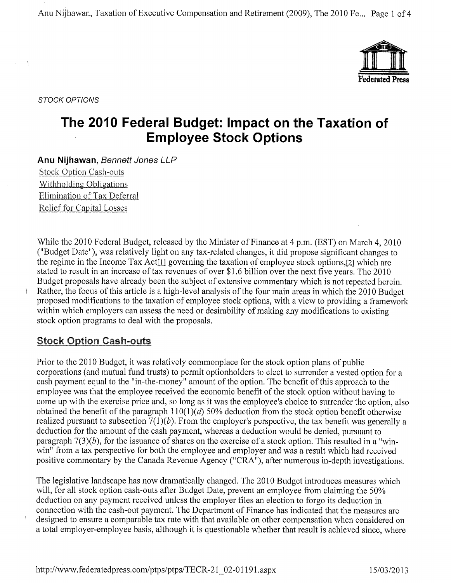Anu Nijhawan, Taxation of Executive Compensation and Retirement (2009), The 2010 Fe... Page 1 of 4



STOCK OPTIONS

 $\Delta$ 

# The 2010 Federal Budget: Impact on the Taxation of Employee Stock Options

Anu Nijhawan, Bennett Jones LLP Stock. Option Cash-outs .Withholding Obligations Elimination of Tax Deferral Relief for Capital Losses

While the 2010 Federal Budget, released by the Minister of Finance at 4 p.m. (EST) on March 4, 2010 ("Budget Date"), was relatively light on any tax-related changes, it did propose significant changes to the regime in the Income Tax Act<sup>[1]</sup> governing the taxation of employee stock options,<sup>[2]</sup> which are stated to result in an increase of tax revenues of over \$1.6 billion over the next five years. The 2010 Budget proposals have already been the subject of extensive commentary which is not repeated herein. Rather, the focus of this article is a high-level analysis of the four main areas in which the 2010 Budget proposed modifications to the taxation of employee stock options, with a view to providing a framework within which employers can assess the need or desirability of making any modifications to existing stock option programs to deal with the proposals.

#### Stock Option Cash-outs

Prior to the 2010 Budget, it was relatively commonplace for the stock option plans of public corporations (and mutual fund trusts) to permit optionholders to elect to surrender a vested option for a cash payment equal to the "in-the-money" amount of the option. The benefit of this approach to the employee was that the employee received the economic benefit of the stock option without having to come up with the exercise price and, so long as it was the employee's choice to surrender the option, also obtained the benefit of the paragraph  $110(1)(d)$  50% deduction from the stock option benefit otherwise realized pursuant to subsection  $7(1)(b)$ . From the employer's perspective, the tax benefit was generally a deduction for the amount of the cash payment, whereas a deduction would be denied, pursuant to paragraph  $7(3)(b)$ , for the issuance of shares on the exercise of a stock option. This resulted in a "winwin" from a tax perspective for both the employee and employer and was a result which had received positive commentary by the Canada Revenue Agency ("CRA"), after numerous in-depth investigations.

The legislative landscape has now dramatically changed. The 2010 Budget introduces measures which will, for all stock option cash-outs after Budget Date, prevent an employee from claiming the 50% deduction on any payment received unless the employer files an election to forgo its deduction in connection with the cash-out payment. The Department of Finance has indicated that the measures are designed to ensure a comparable tax rate with that available on other compensation when considered on a total employer-employee basis, although it is questionable whether that result is achieved since, where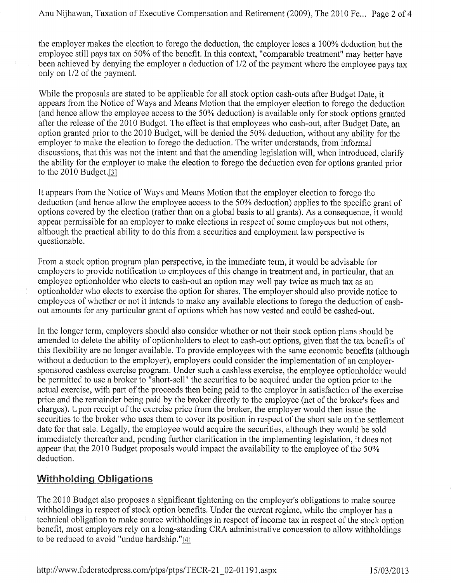the employer makes the election to forego the deduction, the employer loses a 100% deduction but the employee still pays tax on 50% of the benefit. In this context, "comparable treatment" may better have been achieved by denying the employer a deduction of 1/2 of the payment where the employee pays tax only on 1/2 of the payment.

While the proposals are stated to be applicable for all stock option cash-outs after Budget Date, it appears from the Notice of Ways and Means Motion that the employer election to forego the deduction (and hence allow the employee access to the 50% deduction) is available only for stock options granted after the release of the 2010 Budget. The effect is that employees who cash-out, after Budget Date, an option granted prior to the 2010 Budget, will be denied the 50% deduction, without any ability for the employer to make the election to forego the deduction. The writer understands, from informal discussions, that this was not the intent and that the amending legislation will, when introduced, clarify the ability for the employer to make the election to forego the deduction even for options granted prior to the 2010 Budget. $[3]$ 

It appears from the Notice of Ways and Means Motion that the employer election to forego the deduction (and hence allow the employee access to the 50% deduction) applies to the specific grant of options covered by the election (rather than on a global basis to all grants). As a consequence, it would appear permissible for an employer to make elections in respect of some employees but not others, although the practical ability to do this from a securities and employment law perspective is questionable.

From a stock option program plan perspective, in the immediate term, it would be advisable for employers to provide notification to employees of this change in treatment and, in particular, that an employee optionholder who elects to cash-out an option may well pay twice as much tax as an optionholder who elects to exercise the option for shares. The employer should also provide notice to employees of whether or not it intends to make any available elections to forego the deduction of cashout amounts for any particular grant of options which has now vested and could be cashed-out.

In the longer term, employers should also consider whether or not their stock option plans should be amended to delete the ability of optionholders to elect to cash-out options, given that the tax benefits of this flexibility are no longer available. To provide employees with the same economic benefits (although without a deduction to the employer), employers could consider the implementation of an employersponsored cashless exercise program. Under such a cashless exercise, the employee optionholder would be permitted to use a broker to "short-sell" the securities to be acquired under the option prior to the actual exercise, with part of the proceeds then being paid to the employer in satisfaction of the exercise price and the remainder being paid by the broker directly to the employee (net of the broker's fees and charges). Upon receipt of the exercise price from the broker, the employer would then issue the securities to the broker who uses them to cover its position in respect of the short sale on the settlement date for that sale. Legally, the employee would acquire the securities, although they would be sold immediately thereafter and, pending further clarification in the implementing legislation, it does not appear that the 2010 Budget proposals would impact the availability to the employee of the 50% deduction.

## Withholding Obligations

The 2010 Budget also proposes a significant tightening on the employer's obligations to make source withholdings in respect of stock option benefits. Under the current regime, while the employer has a technical obligation to make source withholdings in respect of income tax in respect of the stock option benefit, most employers rely on a long-standing CRA administrative concession to allow withholdings to be reduced to avoid "undue hardship."[4]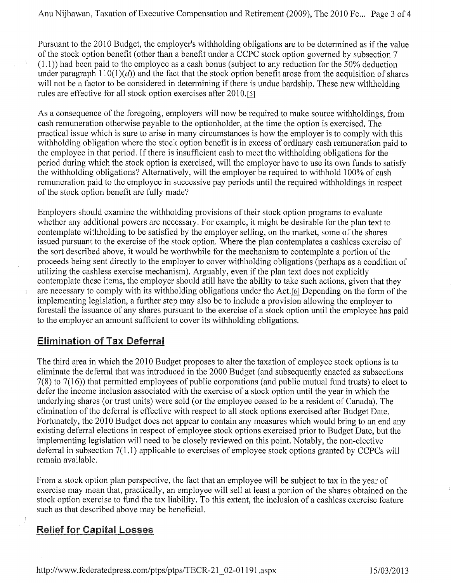Pursuant to the 2010 Budget, the employer's withholding obligations are to be determined as if the value of the stock option benefit (other than a benefit under a CCPC stock option governed by subsection 7 (1.1)) had been paid to the employee as a cash bonus (subject to any reduction for the 50% deduction under paragraph  $110(1)(d)$  and the fact that the stock option benefit arose from the acquisition of shares will not be a factor to be considered in determining if there is undue hardship. These new withholding rules are effective for all stock option exercises after 2010.[5]

As a consequence of the foregoing, employers will now be required to make source withholdings, from cash remuneration otherwise payable to the optionholder, at the time the option is exercised. The practical issue which is sure to arise in many circumstances is how the employer is to comply with this withholding obligation where the stock option benefit is in excess of ordinary cash remuneration paid to the employee in that period. If there is insufficient cash to meet the withholding obligations for the period during which the stock option is exercised, will the employer have to use its own funds to satisfy the withholding obligations? Alternatively, will the employer be required to withhold 100% of cash remuneration paid to the employee in successive pay periods until the required withholdings in respect of the stock option benefit are fully made?

Employers should examine the withholding provisions of their stock option programs to evaluate whether any additional powers are necessary. For example, it might be desirable for the plan text to contemplate withholding to be satisfied by the employer selling, on the market, some of the shares issued pursuant to the exercise of the stock option. Where the plan contemplates a cashless exercise of the sort described above, it would be worthwhile for the mechanism to contemplate a portion of the proceeds being sent directly to the employer to cover withholding obligations (perhaps as a condition of utilizing the cashless exercise mechanism). Arguably, even if the plan text does not explicitly contemplate these items, the employer should still have the ability to take such actions, given that they are necessary to comply with its withholding obligations under the Act,<sup>[6]</sup> Depending on the form of the implementing legislation, a further step may also be to include a provision allowing the employer to forestall the issuance of any shares pursuant to the exercise of a stock option until the employee has paid to the employer an amount sufficient to cover its withholding obligations.

#### **Elimination of Tax Deferral**

The third area in which the 2010 Budget proposes to alter the taxation of employee stock options is to eliminate the deferral that was introduced in the 2000 Budget (and subsequently enacted as subsections 7(8) to 7(16)) that permitted employees of public corporations (and public mutual fund trusts) to elect to defer the income inclusion associated with the exercise of a stock option until the year in which the underlying shares (or trust units) were sold (or the employee ceased to be a resident of Canada). The elimination of the deferral is effective with respect to all stock options exercised after Budget Date. Fortunately, the 2010 Budget does not appear to contain any measures which would bring to an end any existing deferral elections in respect of employee stock options exercised prior to Budget Date, but the implementing legislation will need to be closely reviewed on this point. Notably, the non-elective deferral in subsection 7(1.1) applicable to exercises of employee stock options granted by CCPCs will remain available.

From a stock option plan perspective, the fact that an employee will be subject to tax in the year of exercise may mean that, practically, an employee will sell at least a portion of the shares obtained on the stock option exercise to fund the tax liability. To this extent, the inclusion of a cashless exercise feature such as that described above may be beneficial.

## Relief for Capital Losses